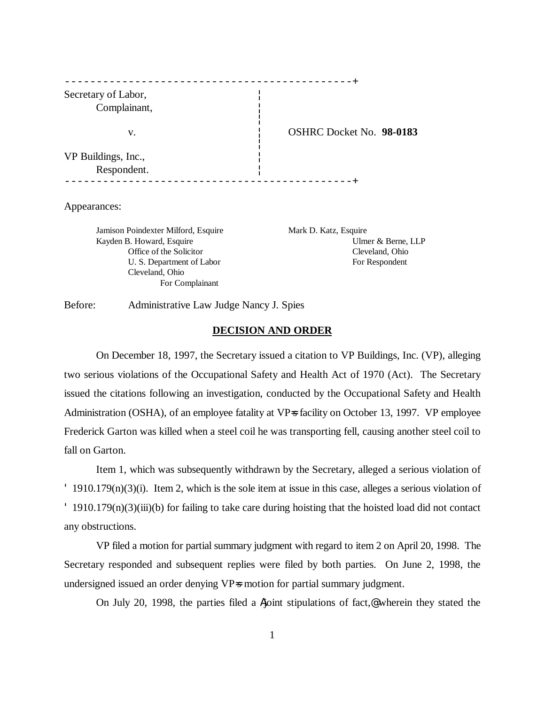| Secretary of Labor,<br>Complainant, |                                 |
|-------------------------------------|---------------------------------|
| v.                                  | <b>OSHRC Docket No. 98-0183</b> |
| VP Buildings, Inc.,<br>Respondent.  |                                 |

#### Appearances:

Jamison Poindexter Milford, Esquire Mark D. Katz, Esquire Cleveland, Ohio For Complainant

Kayden B. Howard, Esquire Ulmer & Berne, LLP Office of the Solicitor Cleveland, Ohio U. S. Department of Labor For Respondent

Before: Administrative Law Judge Nancy J. Spies

## **DECISION AND ORDER**

On December 18, 1997, the Secretary issued a citation to VP Buildings, Inc. (VP), alleging two serious violations of the Occupational Safety and Health Act of 1970 (Act). The Secretary issued the citations following an investigation, conducted by the Occupational Safety and Health Administration (OSHA), of an employee fatality at VP=s facility on October 13, 1997. VP employee Frederick Garton was killed when a steel coil he was transporting fell, causing another steel coil to fall on Garton.

Item 1, which was subsequently withdrawn by the Secretary, alleged a serious violation of ' 1910.179(n)(3)(i). Item 2, which is the sole item at issue in this case, alleges a serious violation of ' 1910.179(n)(3)(iii)(b) for failing to take care during hoisting that the hoisted load did not contact any obstructions.

VP filed a motion for partial summary judgment with regard to item 2 on April 20, 1998. The Secretary responded and subsequent replies were filed by both parties. On June 2, 1998, the undersigned issued an order denying VP=s motion for partial summary judgment.

On July 20, 1998, the parties filed a Ajoint stipulations of fact,@ wherein they stated the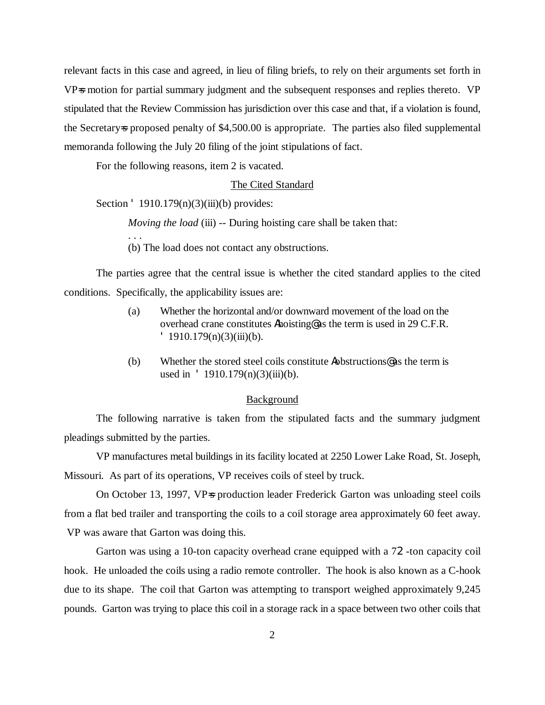relevant facts in this case and agreed, in lieu of filing briefs, to rely on their arguments set forth in VP=s motion for partial summary judgment and the subsequent responses and replies thereto. VP stipulated that the Review Commission has jurisdiction over this case and that, if a violation is found, the Secretary=s proposed penalty of \$4,500.00 is appropriate. The parties also filed supplemental memoranda following the July 20 filing of the joint stipulations of fact.

For the following reasons, item 2 is vacated.

### The Cited Standard

Section  $\text{ }$  1910.179(n)(3)(iii)(b) provides:

. . .

*Moving the load* (iii) -- During hoisting care shall be taken that:

(b) The load does not contact any obstructions.

The parties agree that the central issue is whether the cited standard applies to the cited conditions. Specifically, the applicability issues are:

- (a) Whether the horizontal and/or downward movement of the load on the overhead crane constitutes Ahoisting@ as the term is used in 29 C.F.R.  $'$  1910.179(n)(3)(iii)(b).
- (b) Whether the stored steel coils constitute Aobstructions@ as the term is used in  $\text{ }$  1910.179(n)(3)(iii)(b).

#### Background

The following narrative is taken from the stipulated facts and the summary judgment pleadings submitted by the parties.

VP manufactures metal buildings in its facility located at 2250 Lower Lake Road, St. Joseph, Missouri. As part of its operations, VP receives coils of steel by truck.

On October 13, 1997, VP=s production leader Frederick Garton was unloading steel coils from a flat bed trailer and transporting the coils to a coil storage area approximately 60 feet away. VP was aware that Garton was doing this.

Garton was using a 10-ton capacity overhead crane equipped with a 72-ton capacity coil hook. He unloaded the coils using a radio remote controller. The hook is also known as a C-hook due to its shape. The coil that Garton was attempting to transport weighed approximately 9,245 pounds. Garton was trying to place this coil in a storage rack in a space between two other coils that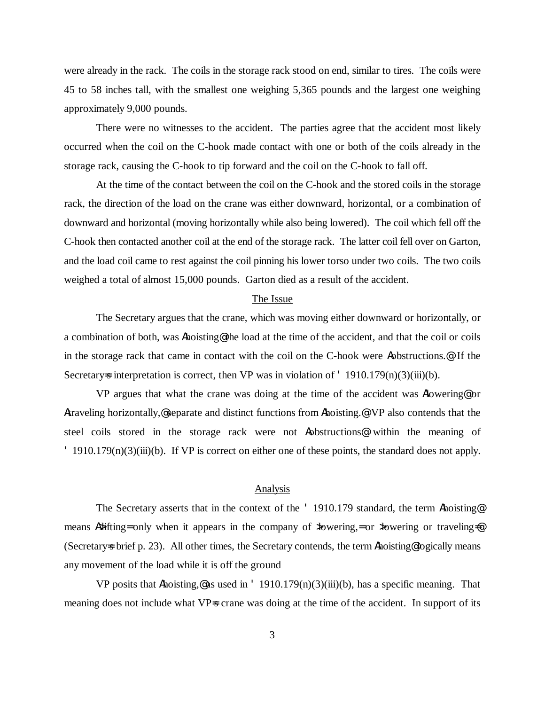were already in the rack. The coils in the storage rack stood on end, similar to tires. The coils were 45 to 58 inches tall, with the smallest one weighing 5,365 pounds and the largest one weighing approximately 9,000 pounds.

There were no witnesses to the accident. The parties agree that the accident most likely occurred when the coil on the C-hook made contact with one or both of the coils already in the storage rack, causing the C-hook to tip forward and the coil on the C-hook to fall off.

At the time of the contact between the coil on the C-hook and the stored coils in the storage rack, the direction of the load on the crane was either downward, horizontal, or a combination of downward and horizontal (moving horizontally while also being lowered). The coil which fell off the C-hook then contacted another coil at the end of the storage rack. The latter coil fell over on Garton, and the load coil came to rest against the coil pinning his lower torso under two coils. The two coils weighed a total of almost 15,000 pounds. Garton died as a result of the accident.

## The Issue

The Secretary argues that the crane, which was moving either downward or horizontally, or a combination of both, was Ahoisting@ the load at the time of the accident, and that the coil or coils in the storage rack that came in contact with the coil on the C-hook were Aobstructions.@ If the Secretary=s interpretation is correct, then VP was in violation of  $\cdot$  1910.179(n)(3)(iii)(b).

VP argues that what the crane was doing at the time of the accident was Alowering@ or Atraveling horizontally,@ separate and distinct functions from Ahoisting.@ VP also contends that the steel coils stored in the storage rack were not Aobstructions@ within the meaning of ' 1910.179(n)(3)(iii)(b). If VP is correct on either one of these points, the standard does not apply.

## Analysis

The Secretary asserts that in the context of the ' 1910.179 standard, the term Ahoisting@ means A>lifting= only when it appears in the company of  $\lambda$  bwering, = or  $\lambda$  bwering or traveling= (Secretary=s brief p. 23). All other times, the Secretary contends, the term Ahoisting@ logically means any movement of the load while it is off the ground

VP posits that Ahoisting,@ as used in '  $1910.179(n)(3)(iii)(b)$ , has a specific meaning. That meaning does not include what VP=s crane was doing at the time of the accident. In support of its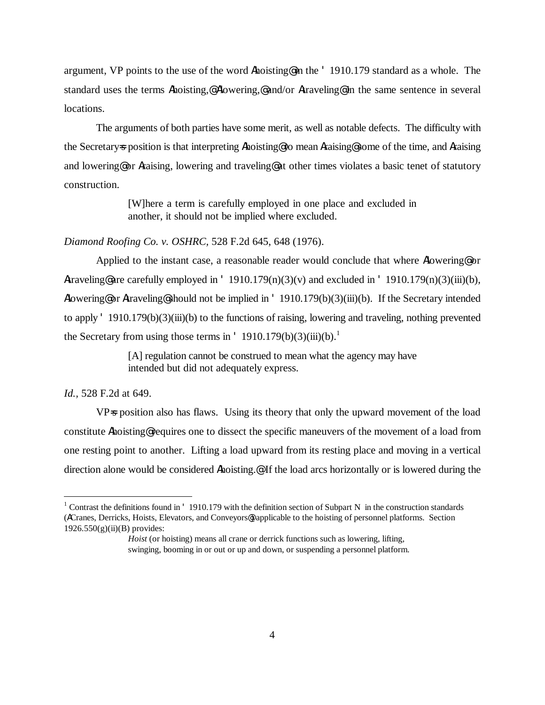argument, VP points to the use of the word Ahoisting@ in the ' 1910.179 standard as a whole. The standard uses the terms Ahoisting,@ Alowering,@ and/or Atraveling@ in the same sentence in several locations.

The arguments of both parties have some merit, as well as notable defects. The difficulty with the Secretary=s position is that interpreting Ahoisting@ to mean Araising@ some of the time, and Araising and lowering@ or Araising, lowering and traveling@ at other times violates a basic tenet of statutory construction.

> [W]here a term is carefully employed in one place and excluded in another, it should not be implied where excluded.

# *Diamond Roofing Co. v. OSHRC,* 528 F.2d 645, 648 (1976).

Applied to the instant case, a reasonable reader would conclude that where Alowering or Atraveling@ are carefully employed in '  $1910.179(n)(3)(v)$  and excluded in '  $1910.179(n)(3)(iii)(b)$ , Alowering@ or Atraveling@ should not be implied in ' 1910.179(b)(3)(iii)(b). If the Secretary intended to apply ' 1910.179(b)(3)(iii)(b) to the functions of raising, lowering and traveling, nothing prevented the Secretary from using those terms in  $'$  1910.179(b)(3)(iii)(b).<sup>1</sup>

> [A] regulation cannot be construed to mean what the agency may have intended but did not adequately express.

## *Id.,* 528 F.2d at 649.

 $\overline{a}$ 

VP=s position also has flaws. Using its theory that only the upward movement of the load constitute Ahoisting@ requires one to dissect the specific maneuvers of the movement of a load from one resting point to another. Lifting a load upward from its resting place and moving in a vertical direction alone would be considered Ahoisting.@ If the load arcs horizontally or is lowered during the

<sup>&</sup>lt;sup>1</sup> Contrast the definitions found in ' 1910.179 with the definition section of Subpart N in the construction standards (ACranes, Derricks, Hoists, Elevators, and Conveyors@) applicable to the hoisting of personnel platforms. Section 1926.550(g)(ii)(B) provides:

*Hoist* (or hoisting) means all crane or derrick functions such as lowering, lifting, swinging, booming in or out or up and down, or suspending a personnel platform.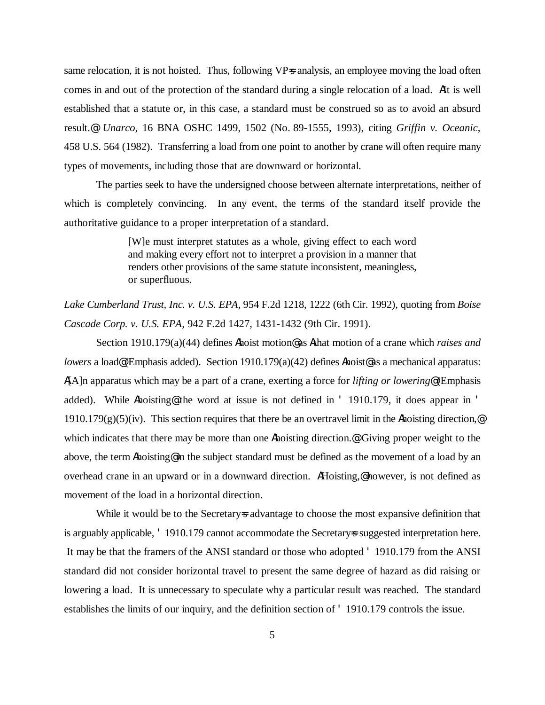same relocation, it is not hoisted. Thus, following VP=s analysis, an employee moving the load often comes in and out of the protection of the standard during a single relocation of a load. AIt is well established that a statute or, in this case, a standard must be construed so as to avoid an absurd result.@ *Unarco,* 16 BNA OSHC 1499, 1502 (No. 89-1555, 1993), citing *Griffin v. Oceanic*, 458 U.S. 564 (1982). Transferring a load from one point to another by crane will often require many types of movements, including those that are downward or horizontal.

The parties seek to have the undersigned choose between alternate interpretations, neither of which is completely convincing. In any event, the terms of the standard itself provide the authoritative guidance to a proper interpretation of a standard.

> [W]e must interpret statutes as a whole, giving effect to each word and making every effort not to interpret a provision in a manner that renders other provisions of the same statute inconsistent, meaningless, or superfluous.

*Lake Cumberland Trust, Inc. v. U.S. EPA,* 954 F.2d 1218, 1222 (6th Cir. 1992), quoting from *Boise Cascade Corp. v. U.S. EPA,* 942 F.2d 1427, 1431-1432 (9th Cir. 1991).

Section 1910.179(a)(44) defines Ahoist motion@ as Athat motion of a crane which *raises and lowers* a load@(Emphasis added). Section 1910.179(a)(42) defines Ahoist@ as a mechanical apparatus: A[A]n apparatus which may be a part of a crane, exerting a force for *lifting or lowering*@ (Emphasis added). While Ahoisting the word at issue is not defined in ' 1910.179, it does appear in '  $1910.179(g)(5)(iv)$ . This section requires that there be an overtravel limit in the Ahoisting direction,  $\circ$ which indicates that there may be more than one Ahoisting direction.<sup>@</sup> Giving proper weight to the above, the term Ahoisting@ in the subject standard must be defined as the movement of a load by an overhead crane in an upward or in a downward direction. AHoisting,@ however, is not defined as movement of the load in a horizontal direction.

While it would be to the Secretary advantage to choose the most expansive definition that is arguably applicable, ' 1910.179 cannot accommodate the Secretary-s suggested interpretation here. It may be that the framers of the ANSI standard or those who adopted ' 1910.179 from the ANSI standard did not consider horizontal travel to present the same degree of hazard as did raising or lowering a load. It is unnecessary to speculate why a particular result was reached. The standard establishes the limits of our inquiry, and the definition section of ' 1910.179 controls the issue.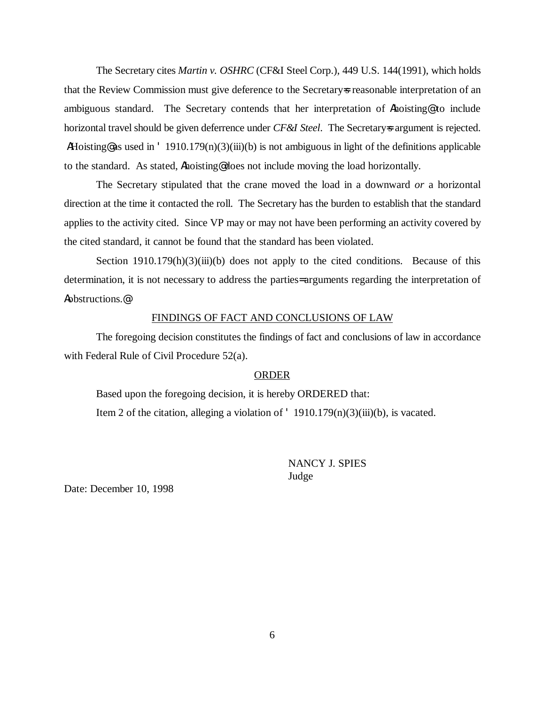The Secretary cites *Martin v. OSHRC* (CF&I Steel Corp.), 449 U.S. 144(1991), which holds that the Review Commission must give deference to the Secretary=s reasonable interpretation of an ambiguous standard. The Secretary contends that her interpretation of Ahoisting@ to include horizontal travel should be given deferrence under *CF&I Steel*. The Secretary=s argument is rejected. AHoisting@ as used in ' 1910.179(n)(3)(iii)(b) is not ambiguous in light of the definitions applicable to the standard. As stated, Ahoisting@ does not include moving the load horizontally.

The Secretary stipulated that the crane moved the load in a downward *or* a horizontal direction at the time it contacted the roll. The Secretary has the burden to establish that the standard applies to the activity cited. Since VP may or may not have been performing an activity covered by the cited standard, it cannot be found that the standard has been violated.

Section  $1910.179(h)(3)(iii)(b)$  does not apply to the cited conditions. Because of this determination, it is not necessary to address the parties= arguments regarding the interpretation of Aobstructions.@

## FINDINGS OF FACT AND CONCLUSIONS OF LAW

The foregoing decision constitutes the findings of fact and conclusions of law in accordance with Federal Rule of Civil Procedure 52(a).

### ORDER

Based upon the foregoing decision, it is hereby ORDERED that: Item 2 of the citation, alleging a violation of  $'$  1910.179(n)(3)(iii)(b), is vacated.

> NANCY J. SPIES Judge

Date: December 10, 1998